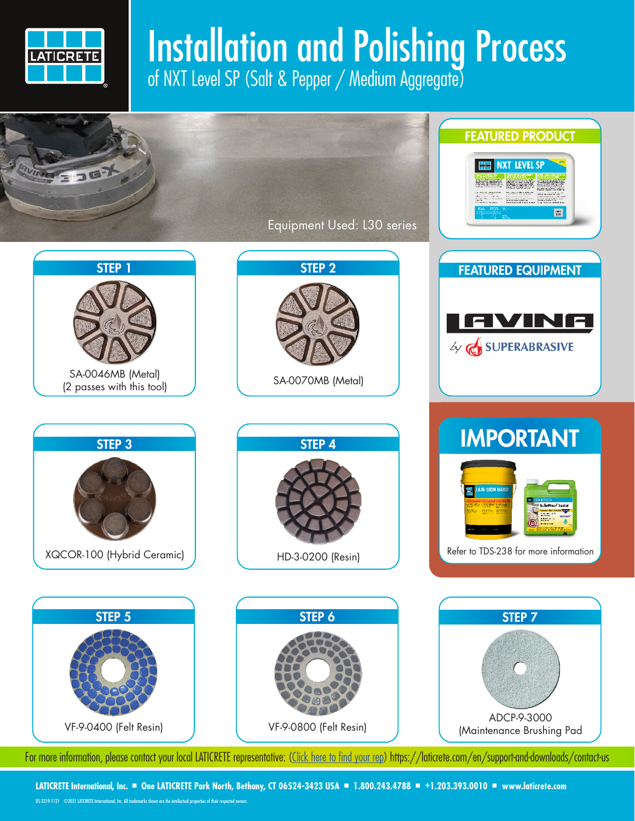

## Installation and Polishing Process of NXT Level SP (Salt & Pepper / Medium Aggregate)



**LATICRETE International, Inc.** ■ **One LATICRETE Park North, Bethany, CT 06524-3423 USA** ■ **1.800.243.4788** ■ **+1.203.393.0010** ■ **www.laticrete.com**

DS-3219-1121 ©2021 LATCIRETE International, Inc. All trademarks shown are the intellectual properties of their respected owners.